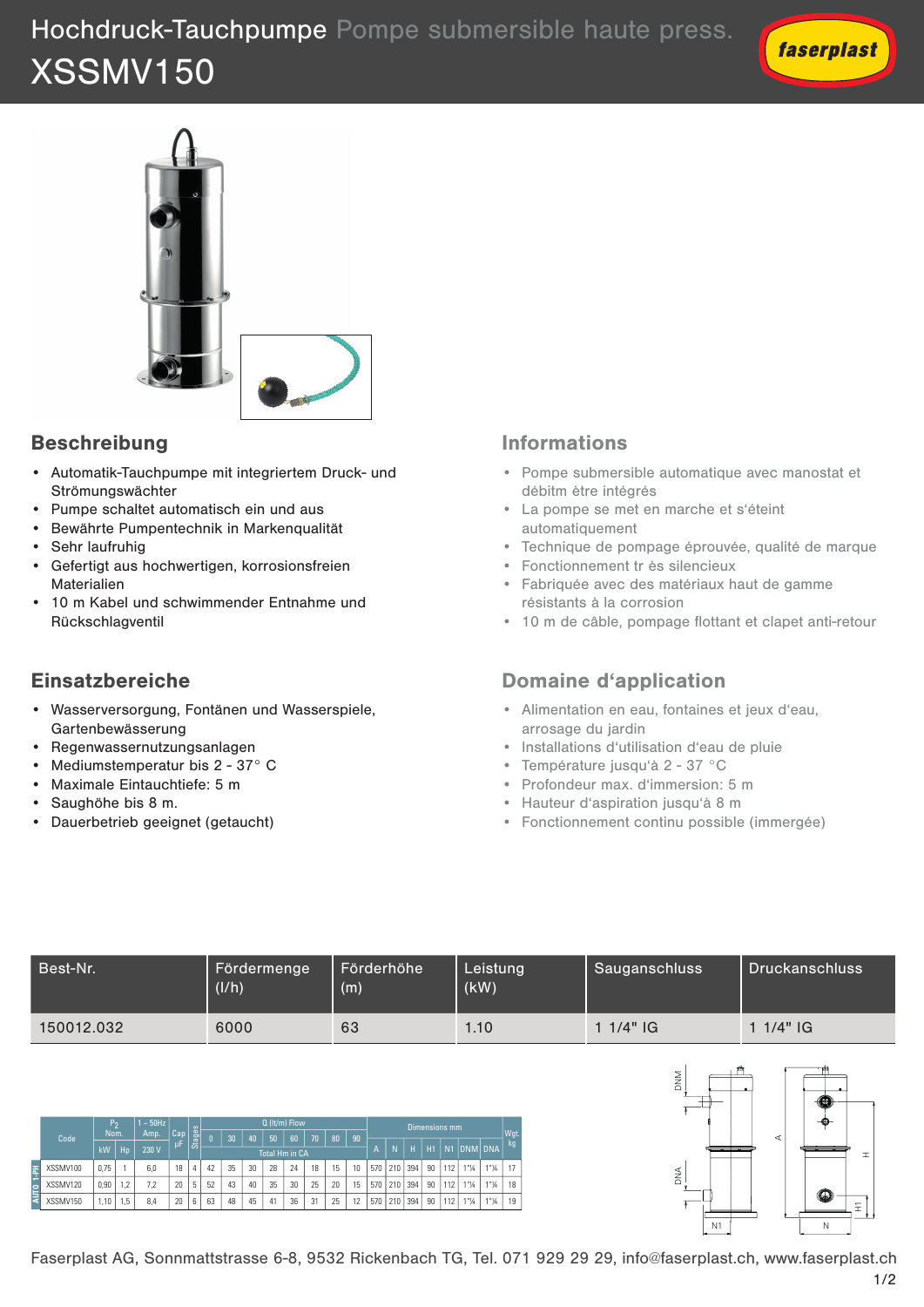



# Beschreibung

- Automatik-Tauchpumpe mit integriertem Druck- und Strömungswächter
- Pumpe schaltet automatisch ein und aus
- **Bewährte Pumpentechnik in Markenqualität** 
	- Sehr laufruhig
	- **•** Gefertigt aus hochwertigen, korrosionsfreien<br>• Gefertigt aus hochwertigen, korrosionsfreien Materialien  $T_{\text{eff}}$  $T_{\rm F}$ stopping of the motor, in order to avoid water hammer
	- 10 m Kabel und schwimmender Entnahme und and and consequent energy saving. Rückschlagventil  $\mathbf{U}$  $U$

## Einsatzbereiche

- Wasserversorgung, Fontänen und Wasserspiele, **Applications** Gartenbewässerung • Domestic boosting **Applications** • Domestic boosting
- Regenwassernutzungsanlagen
- Mediumstemperatur bis 2 37° C
- Maximale Eintauchtiefe: 5 m
- Saughöhe bis 8 m.

Code P2 Nom.

**AUTO 1-PH**

Code

P2 Nom.

Vom. | Ar µF  $rac{1}{\sqrt{2}}$ 

1 ~ 50Hz Amp. | Cap µF Stages Q (lt/m) Flow

| kW | Hp | 230 V | <sup>P"</sup> | <sup>co</sup> | <u>Total Hm in CA | N | N | N | H</u> | H1 | N1 | DNM| DNA <u>—</u> XSSMV100 |0,75 | 1 | 6,0 | 18 |4 | 42 | 35 | 30 | 28 | 24 | 18 | 15 | 10 |570 |210 |394 | 90 |112 | 1"¼ | 1"¼ | 1 ├―― XSSMV120 │0,90│1,2│ 7,2 │20│5│ 52│ 43│ 40│ 35│ 30│ 25│ 20│ 15│570│210│ 394│ 90│112│ 1"¼ │ 1"¼ │ 18  $\le$  XSSMV150  $\,$  1,10  $\,$  1,5  $\,$  8,4  $\,$  20  $\,$  6  $\,$  63  $\,$  48  $\,$  45  $\,$  41  $\,$  36  $\,$  31  $\,$  25  $\,$  12  $\,$  570  $\,$  210  $\,$  394  $\,$  90  $\,$  112  $\,$  1\* $\,$ %  $\,$  1 \* $\,$  14  $\,$ 

kW Hp 230 V A N H H1 N1 DNM DNA Total Hm in CA XSSMV100 |0,75 | 1 | 6,0 | 18 |4 | 42 | 35 | 30 | 28 | 24 | 18 | 15 | 10 |570 |210 |394 | 90 |112 | 1"¼ | 1"¼ | 17 | XSSMV120 |0,90 |1,2 | 7,2 | 20 |5 | 52 | 43 | 40 | 35 | 30 | 25 | 20 | 15 |570 |210 |394 | 90 |112 | 1"¼ | 1"¼ | 18 |

XSSMV150 |1,10 |1,5 | 8,4 | 20 |6 | 63 | 48 | 45 | 41 | 36 | 31 | 25 | 12 |570 |210 |394 | 90 |112 | 1"¼ | 1"¼ | 19 |

e

0 30 40 50 60 70 80 90

 $\overline{\phantom{a}}$ e

<u>kg 0 30 40 50 60 70 80 90 10 10 11 11 11 12 12 12 14 14</u>

• Dauerbetrieb geeignet (getaucht)

#### **Informations**

- Informations<br>• Pompe submersible automatique avec manostat et débitm ètre intégrés
- La pompe se met en marche et s'éteint<br> **Puriomatiquement** automatiquement
- Technique de pompage éprouvée, qualité de marque
- Fonctionnement tr ès silencieux **start and stop ramp**
- Fabriquée avec des matériaux haut de gamme résistants à la corrosion
	- 10 m de câble, pompage flottant et clapet anti-retour

## Domaine d'application

- Alimentation en eau, fontaines et jeux d'eau, arrosage du jardin
- Installations d'utilisation d'eau de pluie
- Température jusqu'à 2 37 °C
- Profondeur max. d'immersion: 5 m
	- Hauteur d'aspiration jusqu'à 8 m
	- Fonctionnement continu possible (immergée)

| Best-Nr.   | Fördermenge<br>(1/h) | Förderhöhe<br>(m) | Leistung<br>(kW) | Sauganschluss | l Druckanschluss |
|------------|----------------------|-------------------|------------------|---------------|------------------|
| 150012.032 | 6000                 | 63                | 1.10             | $11/4"$ IG    | $11/4"$ IG       |

Dimensions mm  $\vert_{\text{Wgt.}}$ 



Q (lt/m) Flow

1/2 Faserplast AG, Sonnmattstrasse 6-8, 9532 Rickenbach TG, Tel. 071 929 29 29, info@faserplast.ch, www.faserplast.ch

 $\log_{10}$  and  $\log_{10}$